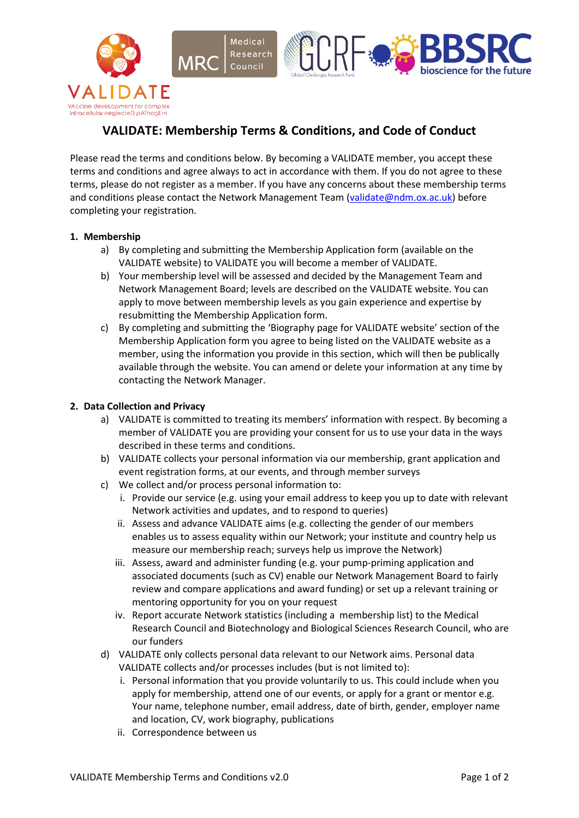



# **VALIDATE: Membership Terms & Conditions, and Code of Conduct**

Medical

Council

Please read the terms and conditions below. By becoming a VALIDATE member, you accept these terms and conditions and agree always to act in accordance with them. If you do not agree to these terms, please do not register as a member. If you have any concerns about these membership terms and conditions please contact the Network Management Team [\(validate@ndm.ox.ac.uk\)](mailto:validate@ndm.ox.ac.uk) before completing your registration.

#### **1. Membership**

- a) By completing and submitting the Membership Application form (available on the VALIDATE website) to VALIDATE you will become a member of VALIDATE.
- b) Your membership level will be assessed and decided by the Management Team and Network Management Board; levels are described on the VALIDATE website. You can apply to move between membership levels as you gain experience and expertise by resubmitting the Membership Application form.
- c) By completing and submitting the 'Biography page for VALIDATE website' section of the Membership Application form you agree to being listed on the VALIDATE website as a member, using the information you provide in this section, which will then be publically available through the website. You can amend or delete your information at any time by contacting the Network Manager.

### **2. Data Collection and Privacy**

- a) VALIDATE is committed to treating its members' information with respect. By becoming a member of VALIDATE you are providing your consent for us to use your data in the ways described in these terms and conditions.
- b) VALIDATE collects your personal information via our membership, grant application and event registration forms, at our events, and through member surveys
- c) We collect and/or process personal information to:
	- i. Provide our service (e.g. using your email address to keep you up to date with relevant Network activities and updates, and to respond to queries)
	- ii. Assess and advance VALIDATE aims (e.g. collecting the gender of our members enables us to assess equality within our Network; your institute and country help us measure our membership reach; surveys help us improve the Network)
	- iii. Assess, award and administer funding (e.g. your pump-priming application and associated documents (such as CV) enable our Network Management Board to fairly review and compare applications and award funding) or set up a relevant training or mentoring opportunity for you on your request
	- iv. Report accurate Network statistics (including a membership list) to the Medical Research Council and Biotechnology and Biological Sciences Research Council, who are our funders
- d) VALIDATE only collects personal data relevant to our Network aims. Personal data VALIDATE collects and/or processes includes (but is not limited to):
	- i. Personal information that you provide voluntarily to us. This could include when you apply for membership, attend one of our events, or apply for a grant or mentor e.g. Your name, telephone number, email address, date of birth, gender, employer name and location, CV, work biography, publications
	- ii. Correspondence between us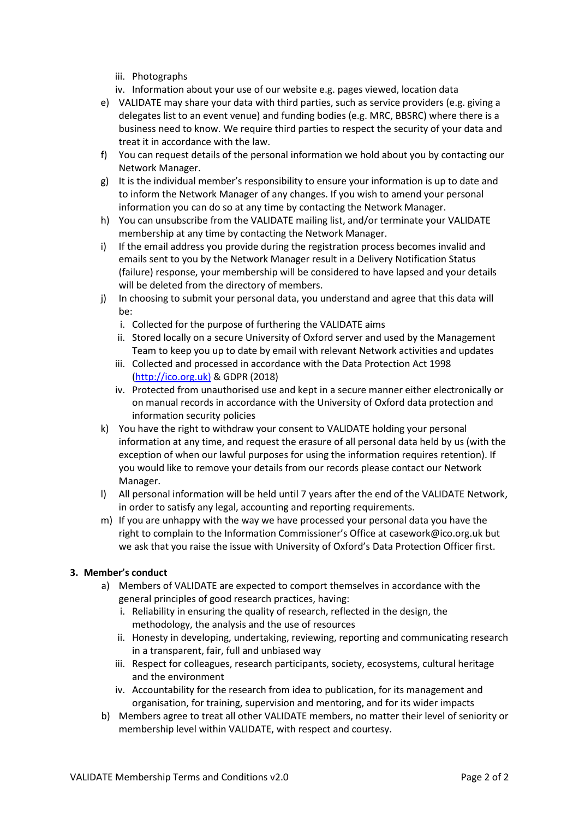- iii. Photographs
- iv. Information about your use of our website e.g. pages viewed, location data
- e) VALIDATE may share your data with third parties, such as service providers (e.g. giving a delegates list to an event venue) and funding bodies (e.g. MRC, BBSRC) where there is a business need to know. We require third parties to respect the security of your data and treat it in accordance with the law.
- f) You can request details of the personal information we hold about you by contacting our Network Manager.
- g) It is the individual member's responsibility to ensure your information is up to date and to inform the Network Manager of any changes. If you wish to amend your personal information you can do so at any time by contacting the Network Manager.
- h) You can unsubscribe from the VALIDATE mailing list, and/or terminate your VALIDATE membership at any time by contacting the Network Manager.
- i) If the email address you provide during the registration process becomes invalid and emails sent to you by the Network Manager result in a Delivery Notification Status (failure) response, your membership will be considered to have lapsed and your details will be deleted from the directory of members.
- j) In choosing to submit your personal data, you understand and agree that this data will be:
	- i. Collected for the purpose of furthering the VALIDATE aims
	- ii. Stored locally on a secure University of Oxford server and used by the Management Team to keep you up to date by email with relevant Network activities and updates
	- iii. Collected and processed in accordance with the Data Protection Act 1998 [\(http://ico.org.uk\)](http://ico.org.uk/) & GDPR (2018)
	- iv. Protected from unauthorised use and kept in a secure manner either electronically or on manual records in accordance with the University of Oxford data protection and information security policies
- k) You have the right to withdraw your consent to VALIDATE holding your personal information at any time, and request the erasure of all personal data held by us (with the exception of when our lawful purposes for using the information requires retention). If you would like to remove your details from our records please contact our Network Manager.
- l) All personal information will be held until 7 years after the end of the VALIDATE Network, in order to satisfy any legal, accounting and reporting requirements.
- m) If you are unhappy with the way we have processed your personal data you have the right to complain to the Information Commissioner's Office at [casework@ico.org.uk](mailto:casework@ico.org.uk) but we ask that you raise the issue with University of Oxford's Data Protection Officer first.

#### **3. Member's conduct**

- a) Members of VALIDATE are expected to comport themselves in accordance with the general principles of good research practices, having:
	- i. Reliability in ensuring the quality of research, reflected in the design, the methodology, the analysis and the use of resources
	- ii. Honesty in developing, undertaking, reviewing, reporting and communicating research in a transparent, fair, full and unbiased way
	- iii. Respect for colleagues, research participants, society, ecosystems, cultural heritage and the environment
	- iv. Accountability for the research from idea to publication, for its management and organisation, for training, supervision and mentoring, and for its wider impacts
- b) Members agree to treat all other VALIDATE members, no matter their level of seniority or membership level within VALIDATE, with respect and courtesy.